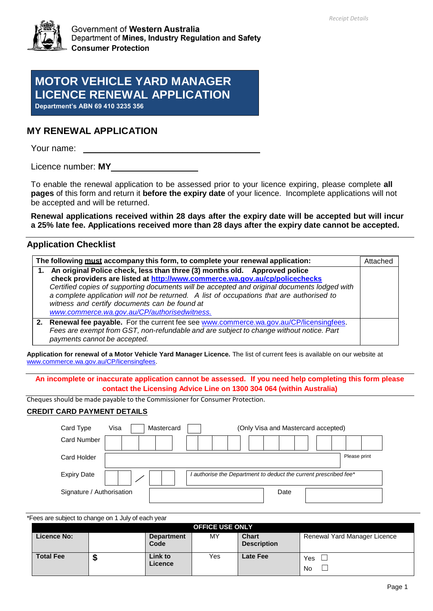

Government of Western Australia Department of Mines, Industry Regulation and Safety **Consumer Protection** 

# **MOTOR VEHICLE YARD MANAGER LICENCE RENEWAL APPLICATION**

**Department's ABN 69 410 3235 356**

# **MY RENEWAL APPLICATION**

Your name:

Licence number: **MY**

To enable the renewal application to be assessed prior to your licence expiring, please complete **all pages** of this form and return it **before the expiry date** of your licence. Incomplete applications will not be accepted and will be returned.

**Renewal applications received within 28 days after the expiry date will be accepted but will incur a 25% late fee. Applications received more than 28 days after the expiry date cannot be accepted.**

# **Application Checklist**

| The following must accompany this form, to complete your renewal application: |                                                                                                                                                                                                                                                                                                                                                                                                                                                           | Attached |
|-------------------------------------------------------------------------------|-----------------------------------------------------------------------------------------------------------------------------------------------------------------------------------------------------------------------------------------------------------------------------------------------------------------------------------------------------------------------------------------------------------------------------------------------------------|----------|
|                                                                               | 1. An original Police check, less than three (3) months old. Approved police<br>check providers are listed at http://www.commerce.wa.gov.au/cp/policechecks<br>Certified copies of supporting documents will be accepted and original documents lodged with<br>a complete application will not be returned. A list of occupations that are authorised to<br>witness and certify documents can be found at<br>www.commerce.wa.gov.au/CP/authorisedwitness. |          |
|                                                                               | 2. Renewal fee payable. For the current fee see www.commerce.wa.gov.au/CP/licensingfees.<br>Fees are exempt from GST, non-refundable and are subject to change without notice. Part<br>payments cannot be accepted.                                                                                                                                                                                                                                       |          |

**Application for renewal of a Motor Vehicle Yard Manager Licence.** The list of current fees is available on our website at [www.commerce.wa.gov.au/CP/licensingfees.](http://www.commerce.wa.gov.au/CP/licensingfees)

**An incomplete or inaccurate application cannot be assessed. If you need help completing this form please contact the Licensing Advice Line on 1300 304 064 (within Australia)**

Cheques should be made payable to the Commissioner for Consumer Protection.

### **CREDIT CARD PAYMENT DETAILS**

| Card Type                 | Mastercard<br>Visa<br>(Only Visa and Mastercard accepted)        |              |
|---------------------------|------------------------------------------------------------------|--------------|
| <b>Card Number</b>        |                                                                  |              |
| Card Holder               |                                                                  | Please print |
| <b>Expiry Date</b>        | I authorise the Department to deduct the current prescribed fee* |              |
| Signature / Authorisation | Date                                                             |              |

\*Fees are subject to change on 1 July of each year

| <b>OFFICE USE ONLY</b>                                                                      |        |                              |     |                 |           |
|---------------------------------------------------------------------------------------------|--------|------------------------------|-----|-----------------|-----------|
| <b>Chart</b><br><b>Licence No:</b><br>MY<br><b>Department</b><br>Code<br><b>Description</b> |        | Renewal Yard Manager Licence |     |                 |           |
| <b>Total Fee</b>                                                                            | œ<br>Ð | Link to<br>Licence           | Yes | <b>Late Fee</b> | Yes<br>No |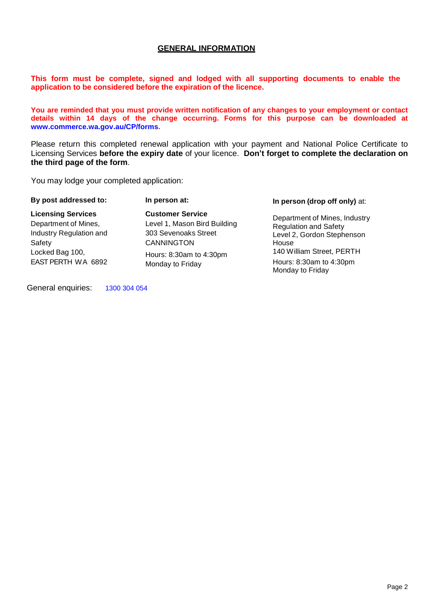# **GENERAL INFORMATION**

**This form must be complete, signed and lodged with all supporting documents to enable the application to be considered before the expiration of the licence.**

**You are reminded that you must provide written notification of any changes to your employment or contact details within 14 days of the change occurring. Forms for this purpose can be downloaded at [www.commerce.wa.gov.au/CP/forms.](http://www.commerce.wa.gov.au/CP/forms)**

Please return this completed renewal application with your payment and National Police Certificate to Licensing Services **before the expiry date** of your licence. **Don't forget to complete the declaration on the third page of the form**.

You may lodge your completed application:

| By post addressed to:                                                                                                           | In person at:                                                                                                                                       | In person (drop off only) at:                                                                                                                                                    |
|---------------------------------------------------------------------------------------------------------------------------------|-----------------------------------------------------------------------------------------------------------------------------------------------------|----------------------------------------------------------------------------------------------------------------------------------------------------------------------------------|
| <b>Licensing Services</b><br>Department of Mines,<br>Industry Regulation and<br>Safety<br>Locked Bag 100,<br>EAST PERTH WA 6892 | <b>Customer Service</b><br>Level 1, Mason Bird Building<br>303 Sevenoaks Street<br><b>CANNINGTON</b><br>Hours: 8:30am to 4:30pm<br>Monday to Friday | Department of Mines, Industry<br><b>Regulation and Safety</b><br>Level 2, Gordon Stephenson<br>House<br>140 William Street, PERTH<br>Hours: 8:30am to 4:30pm<br>Monday to Friday |

General enquiries: 1300 304 054